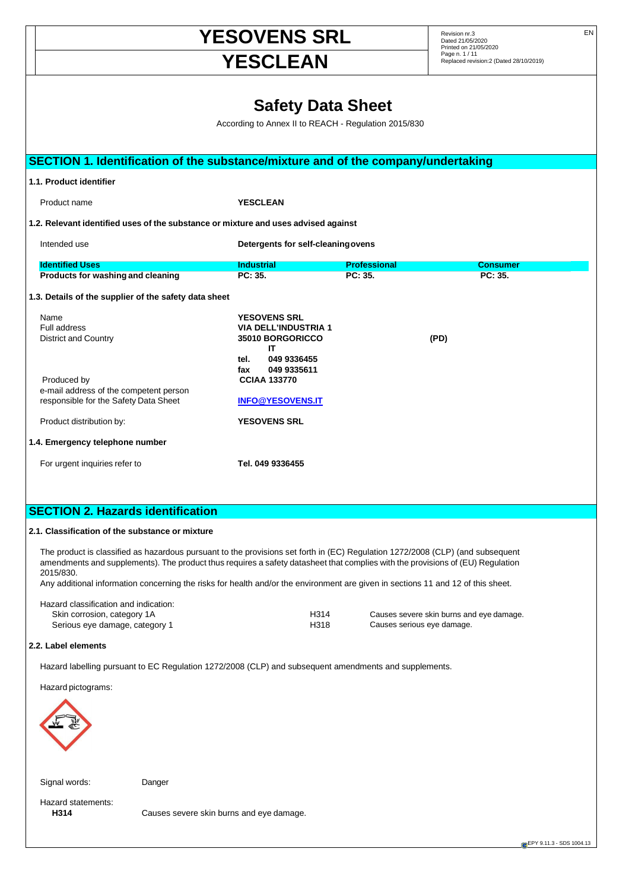# **YESOVENS SRL** Revision nr.3 EN EN **YESCLEAN**

Dated 21/05/2020 Printed on 21/05/2020

**EPY 9.11.3 - SDS 1004.13** 

# **Safety Data Sheet**

According to Annex II to REACH - Regulation 2015/830

|                                                    | SECTION 1. Identification of the substance/mixture and of the company/undertaking                                                                                                                                                                                |                                                    |                     |                                          |  |
|----------------------------------------------------|------------------------------------------------------------------------------------------------------------------------------------------------------------------------------------------------------------------------------------------------------------------|----------------------------------------------------|---------------------|------------------------------------------|--|
|                                                    | 1.1. Product identifier                                                                                                                                                                                                                                          |                                                    |                     |                                          |  |
|                                                    | Product name                                                                                                                                                                                                                                                     | <b>YESCLEAN</b>                                    |                     |                                          |  |
|                                                    | 1.2. Relevant identified uses of the substance or mixture and uses advised against                                                                                                                                                                               |                                                    |                     |                                          |  |
| Intended use<br>Detergents for self-cleaning ovens |                                                                                                                                                                                                                                                                  |                                                    |                     |                                          |  |
|                                                    | <b>Identified Uses</b>                                                                                                                                                                                                                                           | <b>Industrial</b>                                  | <b>Professional</b> | <b>Consumer</b>                          |  |
|                                                    | <b>Products for washing and cleaning</b>                                                                                                                                                                                                                         | PC: 35.                                            | PC: 35.             | PC: 35.                                  |  |
|                                                    | 1.3. Details of the supplier of the safety data sheet                                                                                                                                                                                                            |                                                    |                     |                                          |  |
|                                                    | Name<br>Full address                                                                                                                                                                                                                                             | <b>YESOVENS SRL</b><br><b>VIA DELL'INDUSTRIA 1</b> |                     |                                          |  |
|                                                    | <b>District and Country</b>                                                                                                                                                                                                                                      | 35010 BORGORICCO                                   |                     | (PD)                                     |  |
|                                                    |                                                                                                                                                                                                                                                                  | IΤ<br>049 9336455<br>tel.                          |                     |                                          |  |
|                                                    | Produced by                                                                                                                                                                                                                                                      | 049 9335611<br>fax<br><b>CCIAA 133770</b>          |                     |                                          |  |
|                                                    | e-mail address of the competent person                                                                                                                                                                                                                           | <b>INFO@YESOVENS.IT</b>                            |                     |                                          |  |
|                                                    | responsible for the Safety Data Sheet                                                                                                                                                                                                                            | <b>YESOVENS SRL</b>                                |                     |                                          |  |
|                                                    | Product distribution by:                                                                                                                                                                                                                                         |                                                    |                     |                                          |  |
|                                                    | 1.4. Emergency telephone number                                                                                                                                                                                                                                  |                                                    |                     |                                          |  |
|                                                    | For urgent inquiries refer to                                                                                                                                                                                                                                    | Tel. 049 9336455                                   |                     |                                          |  |
|                                                    |                                                                                                                                                                                                                                                                  |                                                    |                     |                                          |  |
|                                                    | <b>SECTION 2. Hazards identification</b>                                                                                                                                                                                                                         |                                                    |                     |                                          |  |
|                                                    | 2.1. Classification of the substance or mixture                                                                                                                                                                                                                  |                                                    |                     |                                          |  |
|                                                    |                                                                                                                                                                                                                                                                  |                                                    |                     |                                          |  |
|                                                    | The product is classified as hazardous pursuant to the provisions set forth in (EC) Regulation 1272/2008 (CLP) (and subsequent<br>amendments and supplements). The product thus requires a safety datasheet that complies with the provisions of (EU) Regulation |                                                    |                     |                                          |  |
|                                                    | 2015/830.<br>Any additional information concerning the risks for health and/or the environment are given in sections 11 and 12 of this sheet.                                                                                                                    |                                                    |                     |                                          |  |
|                                                    |                                                                                                                                                                                                                                                                  |                                                    |                     |                                          |  |
|                                                    | Hazard classification and indication:<br>Skin corrosion, category 1A                                                                                                                                                                                             | H314                                               |                     | Causes severe skin burns and eye damage. |  |
|                                                    | Serious eye damage, category 1                                                                                                                                                                                                                                   | H318                                               |                     | Causes serious eye damage.               |  |
|                                                    | 2.2. Label elements                                                                                                                                                                                                                                              |                                                    |                     |                                          |  |
|                                                    | Hazard labelling pursuant to EC Regulation 1272/2008 (CLP) and subsequent amendments and supplements.                                                                                                                                                            |                                                    |                     |                                          |  |
|                                                    | Hazard pictograms:                                                                                                                                                                                                                                               |                                                    |                     |                                          |  |
|                                                    |                                                                                                                                                                                                                                                                  |                                                    |                     |                                          |  |
|                                                    |                                                                                                                                                                                                                                                                  |                                                    |                     |                                          |  |
|                                                    |                                                                                                                                                                                                                                                                  |                                                    |                     |                                          |  |
|                                                    |                                                                                                                                                                                                                                                                  |                                                    |                     |                                          |  |

Signal words: Danger

**H314** Causes severe skin burns and eye damage.

Hazard statements: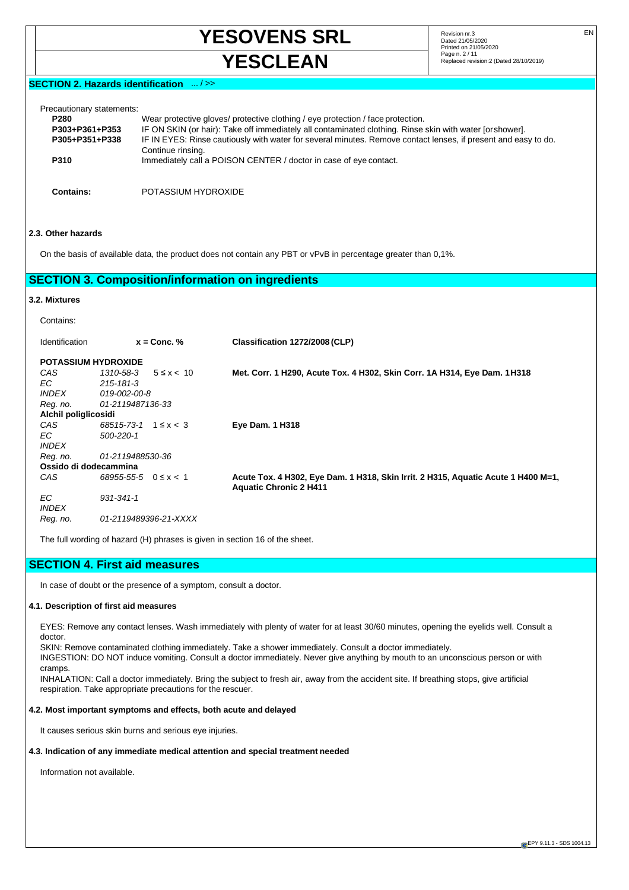**YESOVENS SRL** Revision nr.3 EN **YESCLEAN** Page n. 2/11 **Page n. 2/11 Replaced revision:2** (Dated 28/10/2019)

Dated 21/05/2020 Printed on 21/05/2020<br>Page n. 2 / 11

## **SECTION 2. Hazards identification** ... / >>

| Precautionary statements:<br><b>P280</b> | Wear protective gloves/ protective clothing / eye protection / face protection.                                                     |
|------------------------------------------|-------------------------------------------------------------------------------------------------------------------------------------|
| P303+P361+P353                           | IF ON SKIN (or hair): Take off immediately all contaminated clothing. Rinse skin with water [or shower].                            |
| P305+P351+P338                           | IF IN EYES: Rinse cautiously with water for several minutes. Remove contact lenses, if present and easy to do.<br>Continue rinsing. |
| P310                                     | Immediately call a POISON CENTER / doctor in case of eye contact.                                                                   |
| Contains:                                | POTASSIUM HYDROXIDE                                                                                                                 |

### **2.3. Other hazards**

On the basis of available data, the product does not contain any PBT or vPvB in percentage greater than 0,1%.

# **SECTION 3. Composition/information on ingredients**

# **3.2. Mixtures**

Contains:

| Identification             | $x =$ Conc. $%$                 | Classification 1272/2008 (CLP)                                                                                     |
|----------------------------|---------------------------------|--------------------------------------------------------------------------------------------------------------------|
| <b>POTASSIUM HYDROXIDE</b> |                                 |                                                                                                                    |
| CAS                        | 1310-58-3<br>$5 \leq x < 10$    | Met. Corr. 1 H290, Acute Tox. 4 H302, Skin Corr. 1A H314, Eye Dam. 1 H318                                          |
| EC.                        | 215-181-3                       |                                                                                                                    |
| <i><b>INDEX</b></i>        | 019-002-00-8                    |                                                                                                                    |
| Reg. no.                   | 01-2119487136-33                |                                                                                                                    |
| Alchil poliglicosidi       |                                 |                                                                                                                    |
| CAS                        | $68515 - 73 - 1$ 1 $\leq x < 3$ | <b>Eye Dam. 1 H318</b>                                                                                             |
| EC.                        | 500-220-1                       |                                                                                                                    |
| <b>INDEX</b>               |                                 |                                                                                                                    |
| Reg. no.                   | 01-2119488530-36                |                                                                                                                    |
| Ossido di dodecammina      |                                 |                                                                                                                    |
| CAS                        | $68955 - 55 - 5$ $0 \le x < 1$  | Acute Tox. 4 H302, Eye Dam. 1 H318, Skin Irrit. 2 H315, Aquatic Acute 1 H400 M=1,<br><b>Aquatic Chronic 2 H411</b> |
| EC.<br><b>INDEX</b>        | $931 - 341 - 1$                 |                                                                                                                    |
| Reg. no.                   | 01-2119489396-21-XXXX           |                                                                                                                    |

The full wording of hazard (H) phrases is given in section 16 of the sheet.

### **SECTION 4. First aid measures**

In case of doubt or the presence of a symptom, consult a doctor.

#### **4.1. Description of first aid measures**

EYES: Remove any contact lenses. Wash immediately with plenty of water for at least 30/60 minutes, opening the eyelids well. Consult a doctor.

SKIN: Remove contaminated clothing immediately. Take a shower immediately. Consult a doctor immediately.

INGESTION: DO NOT induce vomiting. Consult a doctor immediately. Never give anything by mouth to an unconscious person or with cramps.

INHALATION: Call a doctor immediately. Bring the subject to fresh air, away from the accident site. If breathing stops, give artificial respiration. Take appropriate precautions for the rescuer.

#### **4.2. Most important symptoms and effects, both acute and delayed**

It causes serious skin burns and serious eye injuries.

#### **4.3. Indication of any immediate medical attention and special treatment needed**

Information not available.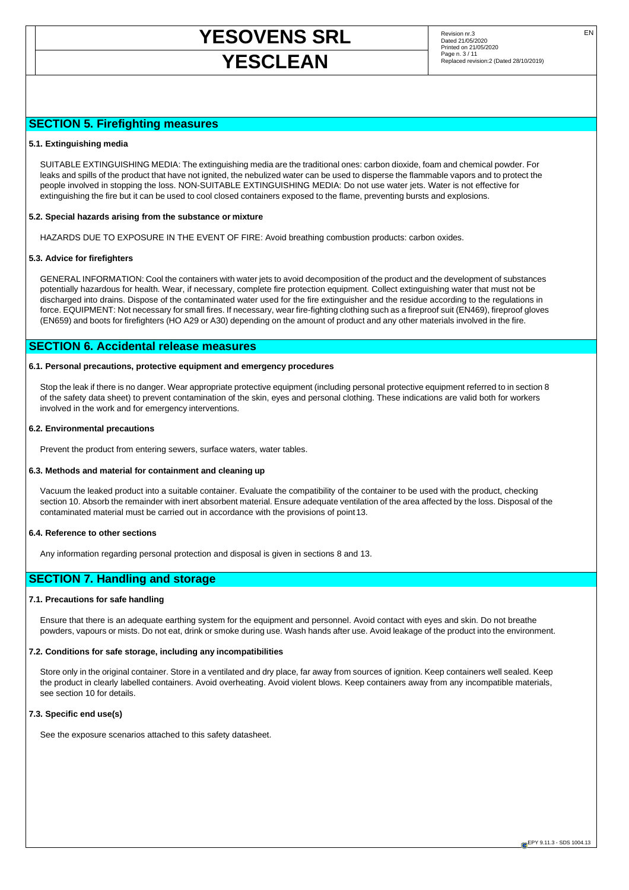# **YESOVENS SRL** Revision nr.3 EN **YESCLEAN** Page n. 3/11 **Page n. 3/11** Page n. 3/11

Dated 21/05/2020 Printed on 21/05/2020

# **SECTION 5. Firefighting measures**

#### **5.1. Extinguishing media**

SUITABLE EXTINGUISHING MEDIA: The extinguishing media are the traditional ones: carbon dioxide, foam and chemical powder. For leaks and spills of the product that have not ignited, the nebulized water can be used to disperse the flammable vapors and to protect the people involved in stopping the loss. NON-SUITABLE EXTINGUISHING MEDIA: Do not use water jets. Water is not effective for extinguishing the fire but it can be used to cool closed containers exposed to the flame, preventing bursts and explosions.

#### **5.2. Special hazards arising from the substance or mixture**

HAZARDS DUE TO EXPOSURE IN THE EVENT OF FIRE: Avoid breathing combustion products: carbon oxides.

#### **5.3. Advice for firefighters**

GENERAL INFORMATION: Cool the containers with water jets to avoid decomposition of the product and the development of substances potentially hazardous for health. Wear, if necessary, complete fire protection equipment. Collect extinguishing water that must not be discharged into drains. Dispose of the contaminated water used for the fire extinguisher and the residue according to the regulations in force. EQUIPMENT: Not necessary for small fires. If necessary, wear fire-fighting clothing such as a fireproof suit (EN469), fireproof gloves (EN659) and boots for firefighters (HO A29 or A30) depending on the amount of product and any other materials involved in the fire.

### **SECTION 6. Accidental release measures**

#### **6.1. Personal precautions, protective equipment and emergency procedures**

Stop the leak if there is no danger. Wear appropriate protective equipment (including personal protective equipment referred to in section 8 of the safety data sheet) to prevent contamination of the skin, eyes and personal clothing. These indications are valid both for workers involved in the work and for emergency interventions.

#### **6.2. Environmental precautions**

Prevent the product from entering sewers, surface waters, water tables.

#### **6.3. Methods and material for containment and cleaning up**

Vacuum the leaked product into a suitable container. Evaluate the compatibility of the container to be used with the product, checking section 10. Absorb the remainder with inert absorbent material. Ensure adequate ventilation of the area affected by the loss. Disposal of the contaminated material must be carried out in accordance with the provisions of point 13.

#### **6.4. Reference to other sections**

Any information regarding personal protection and disposal is given in sections 8 and 13.

# **SECTION 7. Handling and storage**

#### **7.1. Precautions for safe handling**

Ensure that there is an adequate earthing system for the equipment and personnel. Avoid contact with eyes and skin. Do not breathe powders, vapours or mists. Do not eat, drink or smoke during use. Wash hands after use. Avoid leakage of the product into the environment.

#### **7.2. Conditions for safe storage, including any incompatibilities**

Store only in the original container. Store in a ventilated and dry place, far away from sources of ignition. Keep containers well sealed. Keep the product in clearly labelled containers. Avoid overheating. Avoid violent blows. Keep containers away from any incompatible materials, see section 10 for details.

#### **7.3. Specific end use(s)**

See the exposure scenarios attached to this safety datasheet.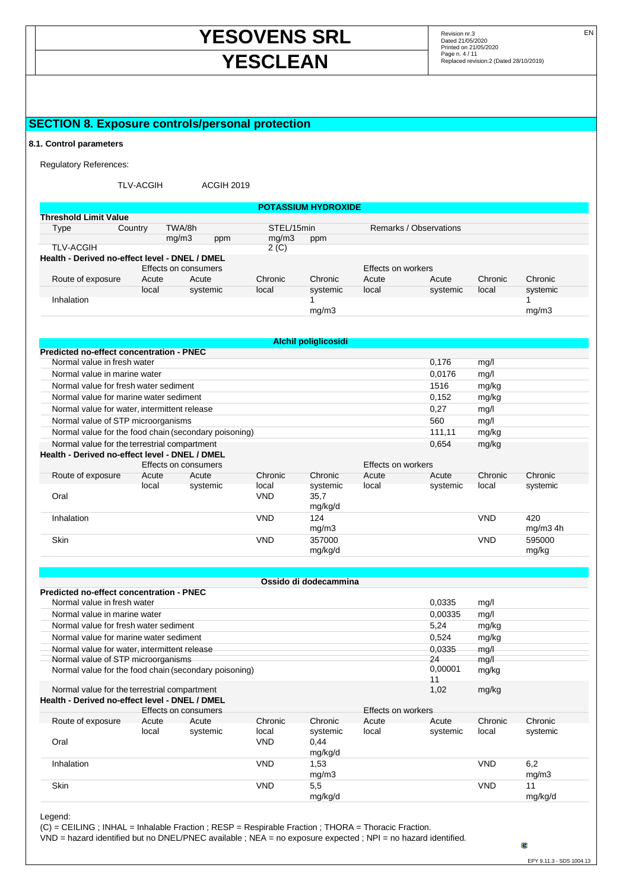# **YESOVENS SRL** Revision nr.3 EN **YESCLEAN** Page n. 4/11 *Page n. 4/11 Replaced revision:2* (Dated 28/10/2019)

Dated 21/05/2020 Printed on 21/05/2020

# **SECTION 8. Exposure controls/personal protection**

#### **8.1. Control parameters**

Regulatory References:

TLV-ACGIH ACGIH 2019

|                                                |                  |                      |          |            | <b>POTASSIUM HYDROXIDE</b> |                    |                        |         |          |
|------------------------------------------------|------------------|----------------------|----------|------------|----------------------------|--------------------|------------------------|---------|----------|
| <b>Threshold Limit Value</b>                   |                  |                      |          |            |                            |                    |                        |         |          |
| Type                                           | Country          | TWA/8h               |          | STEL/15min |                            |                    | Remarks / Observations |         |          |
|                                                |                  | mq/m3                | ppm      | mq/m3      | ppm                        |                    |                        |         |          |
| <b>TLV-ACGIH</b>                               | 2 <sub>(C)</sub> |                      |          |            |                            |                    |                        |         |          |
| Health - Derived no-effect level - DNEL / DMEL |                  |                      |          |            |                            |                    |                        |         |          |
|                                                |                  | Effects on consumers |          |            |                            | Effects on workers |                        |         |          |
| Route of exposure                              | Acute            | Acute                |          | Chronic    | Chronic                    | Acute              | Acute                  | Chronic | Chronic  |
|                                                | local            |                      | systemic | local      | systemic                   | local              | systemic               | local   | systemic |
| Inhalation                                     |                  |                      |          |            |                            |                    |                        |         |          |
|                                                |                  |                      |          |            | mg/m3                      |                    |                        |         | mq/m3    |

| <b>Alchil poliglicosidi</b>                           |       |                      |              |                    |       |          |            |            |
|-------------------------------------------------------|-------|----------------------|--------------|--------------------|-------|----------|------------|------------|
| Predicted no-effect concentration - PNEC              |       |                      |              |                    |       |          |            |            |
| Normal value in fresh water                           |       | 0,176                | mg/l         |                    |       |          |            |            |
| Normal value in marine water                          |       |                      |              |                    |       | 0,0176   | mg/l       |            |
| Normal value for fresh water sediment                 |       |                      |              |                    |       | 1516     | mg/kg      |            |
| Normal value for marine water sediment                |       |                      |              |                    |       | 0,152    | mg/kg      |            |
| Normal value for water, intermittent release          |       |                      |              |                    |       | 0,27     | mg/l       |            |
| Normal value of STP microorganisms                    |       |                      |              |                    |       | 560      | mg/l       |            |
| Normal value for the food chain (secondary poisoning) |       |                      |              |                    |       | 111,11   | mg/kg      |            |
| Normal value for the terrestrial compartment          |       |                      |              |                    |       | 0,654    | mg/kg      |            |
| Health - Derived no-effect level - DNEL / DMEL        |       |                      |              |                    |       |          |            |            |
|                                                       |       | Effects on consumers |              | Effects on workers |       |          |            |            |
| Route of exposure                                     | Acute | Acute                | Chronic      | Chronic            | Acute | Acute    | Chronic    | Chronic    |
| Oral                                                  | local | systemic             | local<br>VND | systemic<br>35,7   | local | systemic | local      | systemic   |
|                                                       |       |                      |              | mg/kg/d            |       |          |            |            |
| Inhalation                                            |       |                      | <b>VND</b>   | 124                |       |          | <b>VND</b> | 420        |
|                                                       |       |                      |              | mg/m3              |       |          |            | $mg/m3$ 4h |
| <b>Skin</b>                                           |       |                      | <b>VND</b>   | 357000             |       |          | <b>VND</b> | 595000     |
|                                                       |       |                      |              | mg/kg/d            |       |          |            | mg/kg      |

|                                                                                                  |                  | Ossido di dodecammina      |                    |                     |                  |                     |  |  |  |
|--------------------------------------------------------------------------------------------------|------------------|----------------------------|--------------------|---------------------|------------------|---------------------|--|--|--|
| <b>Predicted no-effect concentration - PNEC</b><br>0.0335<br>Normal value in fresh water<br>mg/l |                  |                            |                    |                     |                  |                     |  |  |  |
| Normal value in marine water                                                                     | 0.00335          | mg/l                       |                    |                     |                  |                     |  |  |  |
| Normal value for fresh water sediment                                                            |                  |                            |                    | 5,24                | mg/kg            |                     |  |  |  |
| Normal value for marine water sediment                                                           |                  |                            |                    | 0,524               | mg/kg            |                     |  |  |  |
| Normal value for water, intermittent release                                                     |                  |                            |                    | 0.0335              | mg/l             |                     |  |  |  |
| Normal value of STP microorganisms<br>Normal value for the food chain (secondary poisoning)      |                  |                            |                    | 24<br>0,00001<br>11 | mg/1<br>mg/kg    |                     |  |  |  |
| Normal value for the terrestrial compartment<br>Health - Derived no-effect level - DNEL / DMEL   |                  |                            |                    | 1,02                | mg/kg            |                     |  |  |  |
| Effects on consumers                                                                             |                  |                            | Effects on workers |                     |                  |                     |  |  |  |
| Route of exposure<br>Acute<br>Acute<br>systemic<br>local                                         | Chronic<br>local | <b>Chronic</b><br>systemic | Acute<br>local     | Acute<br>systemic   | Chronic<br>local | Chronic<br>systemic |  |  |  |
| Oral                                                                                             | VND              | 0.44<br>mg/kg/d            |                    |                     |                  |                     |  |  |  |
| Inhalation                                                                                       | <b>VND</b>       | 1,53<br>mg/m3              |                    |                     | <b>VND</b>       | 6,2<br>mg/m3        |  |  |  |
| Skin                                                                                             | <b>VND</b>       | 5,5<br>mg/kg/d             |                    |                     | <b>VND</b>       | 11<br>mg/kg/d       |  |  |  |

Legend:

(C) = CEILING ; INHAL = Inhalable Fraction ; RESP = Respirable Fraction ; THORA = Thoracic Fraction.

VND = hazard identified but no DNEL/PNEC available ; NEA = no exposure expected ; NPI = no hazard identified.

a

EPY 9.11.3 - SDS 1004.13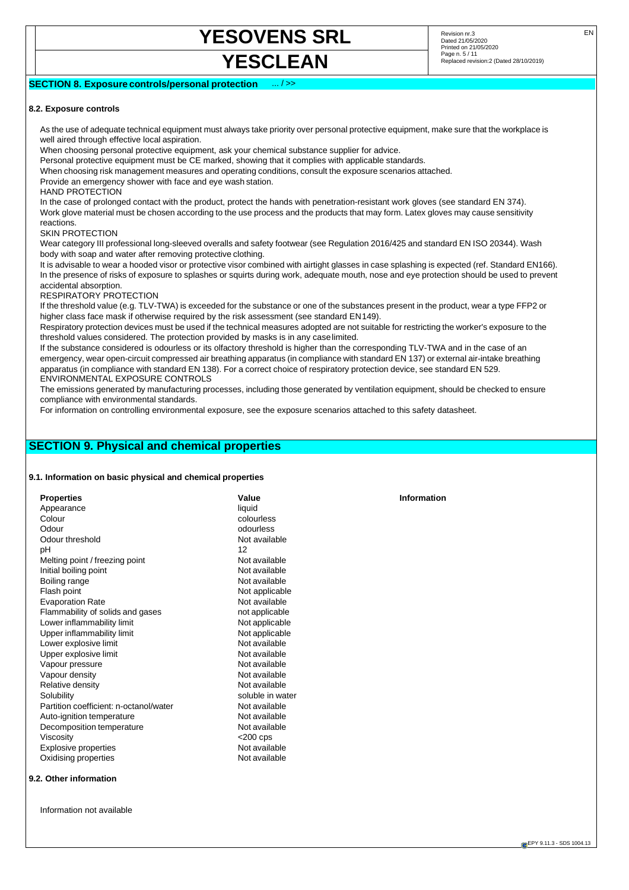# **YESOVENS SRL** Revision nr.3 EN

# **YESCLEAN** Page n. 5/11 **Page n. 5/11** Page n. 5/11

# **SECTION 8. Exposure controls/personal protection**

#### **8.2. Exposure controls**

As the use of adequate technical equipment must always take priority over personal protective equipment, make sure that the workplace is well aired through effective local aspiration.

When choosing personal protective equipment, ask your chemical substance supplier for advice.

Personal protective equipment must be CE marked, showing that it complies with applicable standards.

When choosing risk management measures and operating conditions, consult the exposure scenarios attached.

Provide an emergency shower with face and eye wash station.

#### HAND PROTECTION

In the case of prolonged contact with the product, protect the hands with penetration-resistant work gloves (see standard EN 374). Work glove material must be chosen according to the use process and the products that may form. Latex gloves may cause sensitivity reactions.

#### SKIN PROTECTION

Wear category III professional long-sleeved overalls and safety footwear (see Regulation 2016/425 and standard EN ISO 20344). Wash body with soap and water after removing protective clothing.

It is advisable to wear a hooded visor or protective visor combined with airtight glasses in case splashing is expected (ref. Standard EN166). In the presence of risks of exposure to splashes or squirts during work, adequate mouth, nose and eye protection should be used to prevent accidental absorption.

#### RESPIRATORY PROTECTION

If the threshold value (e.g. TLV-TWA) is exceeded for the substance or one of the substances present in the product, wear a type FFP2 or higher class face mask if otherwise required by the risk assessment (see standard EN 149).

Respiratory protection devices must be used if the technical measures adopted are not suitable for restricting the worker's exposure to the threshold values considered. The protection provided by masks is in any case limited.

If the substance considered is odourless or its olfactory threshold is higher than the corresponding TLV-TWA and in the case of an emergency, wear open-circuit compressed air breathing apparatus (in compliance with standard EN 137) or external air-intake breathing apparatus (in compliance with standard EN 138). For a correct choice of respiratory protection device, see standard EN 529. ENVIRONMENTAL EXPOSURE CONTROLS

The emissions generated by manufacturing processes, including those generated by ventilation equipment, should be checked to ensure compliance with environmental standards.

For information on controlling environmental exposure, see the exposure scenarios attached to this safety datasheet.

# **SECTION 9. Physical and chemical properties**

#### **9.1. Information on basic physical and chemical properties**

| <b>Properties</b>                      | Value            |
|----------------------------------------|------------------|
| Appearance                             | liquid           |
| Colour                                 | colourless       |
| Odour                                  | odourless        |
| Odour threshold                        | Not available    |
| рH                                     | 12               |
| Melting point / freezing point         | Not available    |
| Initial boiling point                  | Not available    |
| Boiling range                          | Not available    |
| Flash point                            | Not applicable   |
| <b>Evaporation Rate</b>                | Not available    |
| Flammability of solids and gases       | not applicable   |
| Lower inflammability limit             | Not applicable   |
| Upper inflammability limit             | Not applicable   |
| Lower explosive limit                  | Not available    |
| Upper explosive limit                  | Not available    |
| Vapour pressure                        | Not available    |
| Vapour density                         | Not available    |
| Relative density                       | Not available    |
| Solubility                             | soluble in water |
| Partition coefficient: n-octanol/water | Not available    |
| Auto-ignition temperature              | Not available    |
| Decomposition temperature              | Not available    |
| Viscosity                              | $<$ 200 cps      |
| Explosive properties                   | Not available    |
| Oxidising properties                   | Not available    |
|                                        |                  |

#### **9.2. Other information**

Information not available

**Information**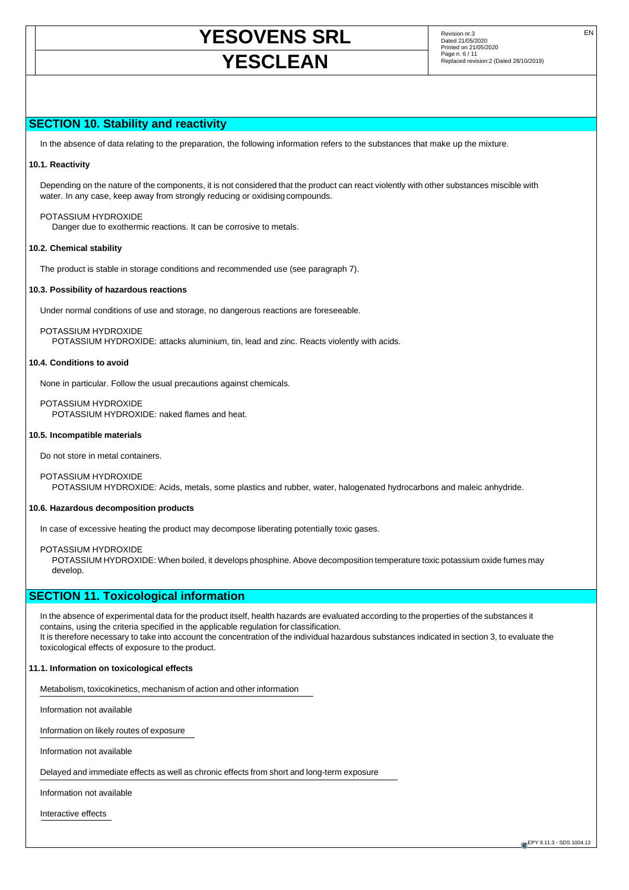# **YESOVENS SRL** Revision nr.3 EN **YESCLEAN** Page n. 6/11 **Page n. 6/11** Page n. 6/11

Dated 21/05/2020 Printed on 21/05/2020

# **SECTION 10. Stability and reactivity**

In the absence of data relating to the preparation, the following information refers to the substances that make up the mixture.

#### **10.1. Reactivity**

Depending on the nature of the components, it is not considered that the product can react violently with other substances miscible with water. In any case, keep away from strongly reducing or oxidising compounds.

#### POTASSIUM HYDROXIDE

Danger due to exothermic reactions. It can be corrosive to metals.

#### **10.2. Chemical stability**

The product is stable in storage conditions and recommended use (see paragraph 7).

#### **10.3. Possibility of hazardous reactions**

Under normal conditions of use and storage, no dangerous reactions are foreseeable.

POTASSIUM HYDROXIDE

POTASSIUM HYDROXIDE: attacks aluminium, tin, lead and zinc. Reacts violently with acids.

#### **10.4. Conditions to avoid**

None in particular. Follow the usual precautions against chemicals.

POTASSIUM HYDROXIDE

POTASSIUM HYDROXIDE: naked flames and heat.

#### **10.5. Incompatible materials**

Do not store in metal containers.

#### POTASSIUM HYDROXIDE

POTASSIUM HYDROXIDE: Acids, metals, some plastics and rubber, water, halogenated hydrocarbons and maleic anhydride.

#### **10.6. Hazardous decomposition products**

In case of excessive heating the product may decompose liberating potentially toxic gases.

#### POTASSIUM HYDROXIDE

POTASSIUM HYDROXIDE: When boiled, it develops phosphine. Above decomposition temperature toxic potassium oxide fumes may develop.

# **SECTION 11. Toxicological information**

In the absence of experimental data for the product itself, health hazards are evaluated according to the properties of the substances it contains, using the criteria specified in the applicable regulation for classification. It is therefore necessary to take into account the concentration of the individual hazardous substances indicated in section 3, to evaluate the toxicological effects of exposure to the product.

#### **11.1. Information on toxicological effects**

Metabolism, toxicokinetics, mechanism of action and other information

Information not available

Information on likely routes of exposure

Information not available

Delayed and immediate effects as well as chronic effects from short and long-term exposure

Information not available

Interactive effects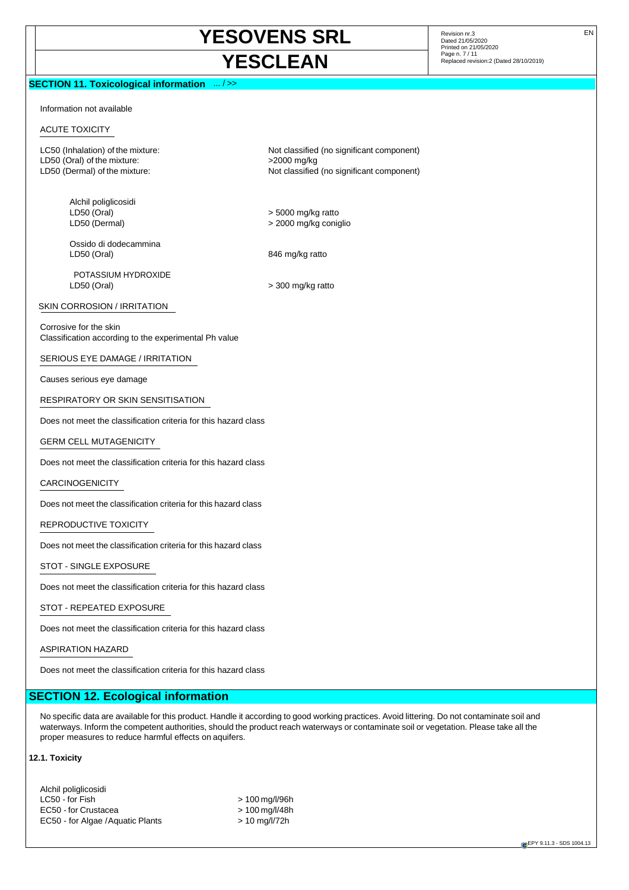# **YESOVENS SRL** Revision nr.3 EN **YESCLEAN** Page n. 7/11 **Page n. 7/11 Page n. 7/11 Replaced revision:2** (Dated 28/10/2019)

### **SECTION 11. Toxicological information** ... / >>

Dated 21/05/2020 Printed on 21/05/2020

Information not available

#### ACUTE TOXICITY

LC50 (Inhalation) of the mixture: Not classified (no significant component) LD50 (Oral) of the mixture:  $>2000$  mg/kg LD50 (Dermal) of the mixture: Not classified (no significant component)

Alchil poliglicosidi LD50 (Oral) > 5000 mg/kg ratto

Ossido di dodecammina LD50 (Oral) 846 mg/kg ratto

POTASSIUM HYDROXIDE  $LD50 (Oral)$   $> 300 mg/kg$  ratto

> 2000 mg/kg coniglio

#### SKIN CORROSION / IRRITATION

Corrosive for the skin Classification according to the experimental Ph value

SERIOUS EYE DAMAGE / IRRITATION

Causes serious eye damage

RESPIRATORY OR SKIN SENSITISATION

Does not meet the classification criteria for this hazard class

#### GERM CELL MUTAGENICITY

Does not meet the classification criteria for this hazard class

CARCINOGENICITY

Does not meet the classification criteria for this hazard class

REPRODUCTIVE TOXICITY

Does not meet the classification criteria for this hazard class

STOT - SINGLE EXPOSURE

Does not meet the classification criteria for this hazard class

STOT - REPEATED EXPOSURE

Does not meet the classification criteria for this hazard class

ASPIRATION HAZARD

Does not meet the classification criteria for this hazard class

### **SECTION 12. Ecological information**

No specific data are available for this product. Handle it according to good working practices. Avoid littering. Do not contaminate soil and waterways. Inform the competent authorities, should the product reach waterways or contaminate soil or vegetation. Please take all the proper measures to reduce harmful effects on aquifers.

#### **12.1. Toxicity**

Alchil poliglicosidi  $LC50 - for Fish$   $> 100 mg/l/96h$ EC50 - for Crustacea > 100 mg/l/48h EC50 - for Algae / Aquatic Plants > 10 mg/l/72h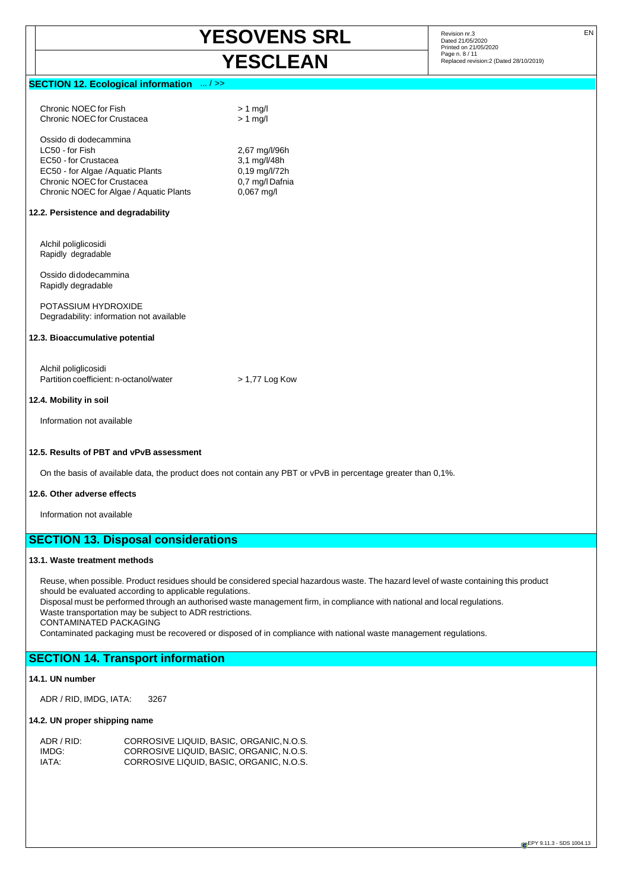2,67 mg/l/96h

#### **SECTION 12. Ecological information** ... / >>

Chronic NOEC for Fish > 1 mg/l Chronic NOEC for Crustacea > 1 mg/l

Ossido di dodecammina<br>LC50 - for Fish EC50 - for Crustacea 3,1 mg/l/48h EC50 - for Algae / Aquatic Plants 0,19 mg/l/72h<br>Chronic NOEC for Crustacea 0.7 ma/l Dafnia Chronic NOEC for Crustacea Chronic NOEC for Algae / Aquatic Plants 0,067 mg/l

#### **12.2. Persistence and degradability**

Alchil poliglicosidi Rapidly degradable

Ossido di dodecammina Rapidly degradable

POTASSIUM HYDROXIDE Degradability: information not available

#### **12.3. Bioaccumulative potential**

Alchil poliglicosidi Partition coefficient: n-octanol/water > 1,77 Log Kow

#### **12.4. Mobility in soil**

Information not available

#### **12.5. Results of PBT and vPvB assessment**

On the basis of available data, the product does not contain any PBT or vPvB in percentage greater than 0,1%.

#### **12.6. Other adverse effects**

Information not available

### **SECTION 13. Disposal considerations**

#### **13.1. Waste treatment methods**

Reuse, when possible. Product residues should be considered special hazardous waste. The hazard level of waste containing this product should be evaluated according to applicable regulations.

Disposal must be performed through an authorised waste management firm, in compliance with national and local regulations. Waste transportation may be subject to ADR restrictions.

CONTAMINATED PACKAGING

Contaminated packaging must be recovered or disposed of in compliance with national waste management regulations.

# **SECTION 14. Transport information**

#### **14.1. UN number**

ADR / RID, IMDG, IATA: 3267

#### **14.2. UN proper shipping name**

| ADR / RID: | CORROSIVE LIQUID, BASIC, ORGANIC, N.O.S. |
|------------|------------------------------------------|
| IMDG:      | CORROSIVE LIQUID. BASIC. ORGANIC. N.O.S. |
| IATA:      | CORROSIVE LIQUID. BASIC. ORGANIC. N.O.S. |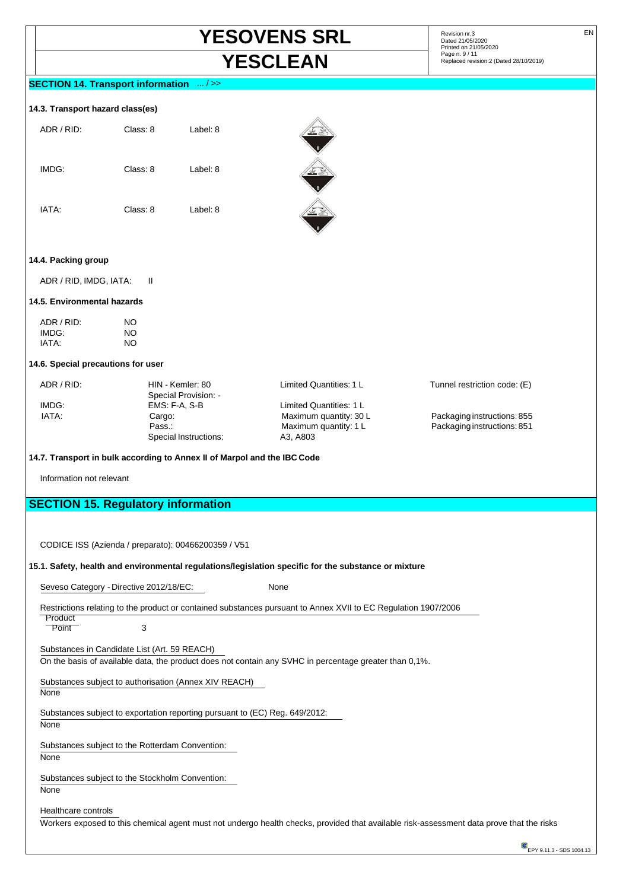# **YESOVENS SRL** Revision nr.3 EN **YESCLEAN** Page n. 9/11 **Page n. 9/11 Replaced revision:2** (Dated 28/10/2019)

Dated 21/05/2020 Printed on 21/05/2020<br>Page n. 9 / 11

### **SECTION 14. Transport information** ... / >>

#### **14.3. Transport hazard class(es)**

| ADR / RID: | Class: 8 | Label: 8 |
|------------|----------|----------|
| IMDG:      | Class: 8 | Label: 8 |
| IATA:      | Class: 8 | Label: 8 |



#### **14.4. Packing group**

ADR / RID, IMDG, IATA: II

#### **14.5. Environmental hazards**

| ADR / RID: | NO. |
|------------|-----|
| IMDG:      | NO. |
| IATA:      | NO. |

#### **14.6. Special precautions for user**

Special Provision: - Special Instructions:

IMDG: EMS: F-A, S-B Limited Quantities: 1 L Pass.: Maximum quantity: 1 L Packaging instructions: 851<br>
991 Special Instructions: A3, A803

ADR / RID: HIN - Kemler: 80 Limited Quantities: 1 L Tunnel restriction code: (E)

IATA: Cargo: Maximum quantity: 30 L Packaging instructions: 855

**14.7. Transport in bulk according to Annex II of Marpol and the IBC Code** 

Information not relevant

# **SECTION 15. Regulatory information**

CODICE ISS (Azienda / preparato): 00466200359 / V51

#### **15.1. Safety, health and environmental regulations/legislation specific for the substance or mixture**

Seveso Category - Directive 2012/18/EC: None

Restrictions relating to the product or contained substances pursuant to Annex XVII to EC Regulation 1907/2006

**Product** Point 3

Substances in Candidate List (Art. 59 REACH)

On the basis of available data, the product does not contain any SVHC in percentage greater than 0,1%.

Substances subject to authorisation (Annex XIV REACH)

None

Substances subject to exportation reporting pursuant to (EC) Reg. 649/2012:

None

Substances subject to the Rotterdam Convention:

None

Substances subject to the Stockholm Convention:

None

Healthcare controls

Workers exposed to this chemical agent must not undergo health checks, provided that available risk-assessment data prove that the risks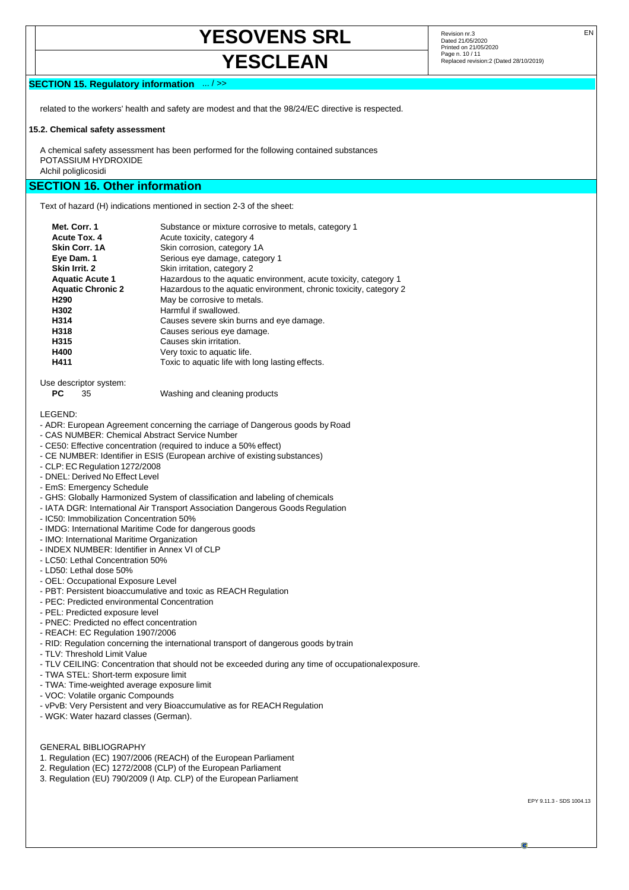# **YESOVENS SRL** Revision nr.3 EN

### Dated 21/05/2020 Printed on 21/05/2020 **YESCLEAN** Page n. 10/11 **Replaced revision:2** (Dated 28/10/2019)

#### **SECTION 15. Regulatory information** ... / >>

related to the workers' health and safety are modest and that the 98/24/EC directive is respected.

#### **15.2. Chemical safety assessment**

A chemical safety assessment has been performed for the following contained substances POTASSIUM HYDROXIDE Alchil poliglicosidi

# **SECTION 16. Other information**

Text of hazard (H) indications mentioned in section 2-3 of the sheet:

| Met. Corr. 1             | Substance or mixture corrosive to metals, category 1               |
|--------------------------|--------------------------------------------------------------------|
| <b>Acute Tox. 4</b>      | Acute toxicity, category 4                                         |
| <b>Skin Corr. 1A</b>     | Skin corrosion, category 1A                                        |
| Eye Dam. 1               | Serious eye damage, category 1                                     |
| Skin Irrit. 2            | Skin irritation, category 2                                        |
| <b>Aquatic Acute 1</b>   | Hazardous to the aquatic environment, acute toxicity, category 1   |
| <b>Aquatic Chronic 2</b> | Hazardous to the aquatic environment, chronic toxicity, category 2 |
| H <sub>290</sub>         | May be corrosive to metals.                                        |
| H302                     | Harmful if swallowed.                                              |
| H314                     | Causes severe skin burns and eye damage.                           |
| H318                     | Causes serious eye damage.                                         |
| H315                     | Causes skin irritation.                                            |
| H400                     | Very toxic to aquatic life.                                        |
| H411                     | Toxic to aquatic life with long lasting effects.                   |
|                          |                                                                    |

Use descriptor system:

**PC** 35 Washing and cleaning products

LEGEND:

- ADR: European Agreement concerning the carriage of Dangerous goods by Road
- CAS NUMBER: Chemical Abstract Service Number
- CE50: Effective concentration (required to induce a 50% effect)
- CE NUMBER: Identifier in ESIS (European archive of existing substances)
- CLP: EC Regulation 1272/2008
- DNEL: Derived No Effect Level
- EmS: Emergency Schedule
- GHS: Globally Harmonized System of classification and labeling of chemicals
- IATA DGR: International Air Transport Association Dangerous Goods Regulation
- IC50: Immobilization Concentration 50%
- IMDG: International Maritime Code for dangerous goods
- IMO: International Maritime Organization
- INDEX NUMBER: Identifier in Annex VI of CLP
- LC50: Lethal Concentration 50%
- LD50: Lethal dose 50%
- OEL: Occupational Exposure Level
- PBT: Persistent bioaccumulative and toxic as REACH Regulation
- PEC: Predicted environmental Concentration
- PEL: Predicted exposure level
- PNEC: Predicted no effect concentration
- REACH: EC Regulation 1907/2006
- RID: Regulation concerning the international transport of dangerous goods by train
- TLV: Threshold Limit Value
- TLV CEILING: Concentration that should not be exceeded during any time of occupational exposure.
- TWA STEL: Short-term exposure limit
- TWA: Time-weighted average exposure limit
- VOC: Volatile organic Compounds
- vPvB: Very Persistent and very Bioaccumulative as for REACH Regulation
- WGK: Water hazard classes (German).

#### GENERAL BIBLIOGRAPHY

- 1. Regulation (EC) 1907/2006 (REACH) of the European Parliament
- 2. Regulation (EC) 1272/2008 (CLP) of the European Parliament
- 3. Regulation (EU) 790/2009 (I Atp. CLP) of the European Parliament

EPY 9.11.3 - SDS 1004.13